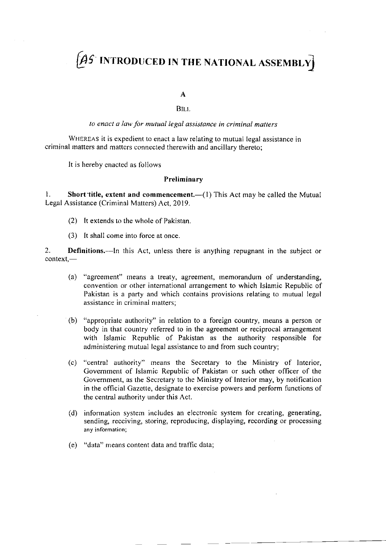# $\not | \mathcal{AS} \rangle$  introduced in the national assembly

A

BILI.

to enact a law for mutual legal assistance in criminal matters

WHEREAS it is expedient to enact a law relating to mutual legal assistance in criminal matters and matters connected therewith and ancillary thereto;

It is hereby enacted as follows

## Preliminary

1. Short title, extent and commencement.— $(1)$  This Act may be called the Mutual Legal Assistance (Criminal Matters) Act, 2019.

- (2) It extends to the whole of Pakistan.
- (3) It shall come into force at once.

2. **Definitions.**—In this Act, unless there is anything repugnant in the subject or  $context$ —

- (a) "agreement" means a treaty, agreement, rnemorandurn of understanding, convention or other international arrangement to which lslamic Republic of Pakistan is a party and which contains provisions relating to mutual legal assistance in criminal matters:
- (b) "appropriate authority" in relation to a foreign country, means a person or body in that country referred to in the agreement or reciprocal arrangement with Islamic Republic of Pakistan as the authority responsible for administering mutual legal assistance to and from such country;
- (c) "central authority" means the Secretary to the Ministry of Interior, Government of Islamic Republic of Pakistan or such other officer of the Government, as the Secretary to the Ministry of Interior may, by notification in the official Gazetle, designate to exercise powers and perform functions of the central authority under this Act.
- (d) information system includes an electronic system for creating, generating, sending, receiving, storing, reproducing, displaying, recording or processing any information;
- (e) "data" means content data and traffic data;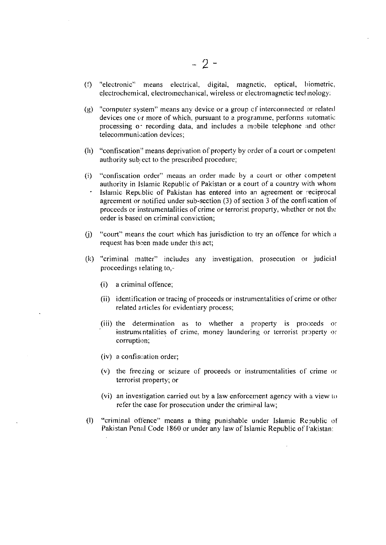- (f) "electronic" means electrical, digital, magnetic, optical, biometric, electrochemical, electromechanical, wireless or electromagnetic technology:
- $(g)$  "computer system" means any device or a group of interconnected or related devices one or more of which, pursuant to a programme, performs automatic processing or recording data, and includes a mobile telephone and other telecommunication devices;
- $(h)$  "confiscation" means deprivation of property by order of a court or competent authority sub ect to the prescribed procedure;
- (i) "confiscation order" means an order made by a court or other competent authority in Islamic Republic of Pakistan or a court of a country with whom Islamic Republic of Pakistan has entered into an agreement or reciprocal agreement or notified under sub-section (3) of section 3 of the confiscation of proceeds or instrumentalities of crime or terrorist property, whether or not the order is based on criminal conviction;
- $(i)$  "court" means the court which has jurisdiction to try an offence for which a request has been made under this act;
- (k) "criminal matter" includes any investigation, prosecution or judicial proceedings relating to,-
	- (i) a criminal offence;
	- (ii) identification or tracing of proceeds or instrumentalities of crime or other related articles for evidentiary process;
	- (iii) the determination as to whether a property is proceeds or instrumentalities of crime, money laundering or terrorist property or corruption;
	- (iv) a confiscation order;
	- (v) the freezing or seizure of proceeds or instrumentalities of crime or terrorist property; or
	- (vi) an investigation carried out by a law enforcement agency with a view to refer the case for prosecution under the criminal law;
- (l) "criminal offence" means a thing punishable under Islamic Republic of Pakistan Penal Code 1860 or under any law of Islamic Republic of Fakistan: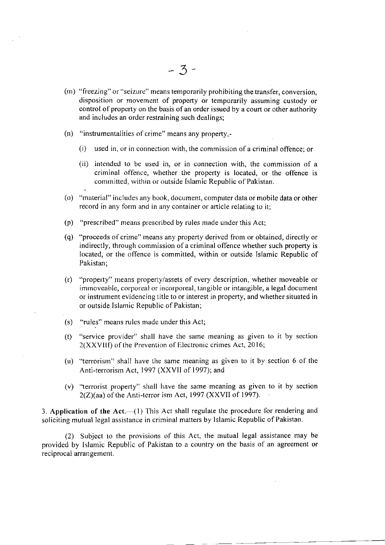- (m) "freezing" or "seizure" means temporarily prohibiting the transfer, conversion, disposition or movement of property or temporarily assuming custody or control of property on the basis of an order issued by a court or other authority and includes an order restraining such dealings;
- (n) "instrumentalities of crime" means any property,-
	- $(i)$  used in, or in connection with, the commission of a criminal offence; or
	- (ii) intended to be used in, or in connection with, the commission of <sup>a</sup> criminal offence, whether the property is located, or the offence is comrnitted, within or outside Islamic Republic of Pakistan.
- (o) "material" includes any book, document, computer data or mobile data or other record in any form and in any container or article relating to it;
- (p) "prescribed" means prescribed by rules made under this Act;
- (q) "proceeds of crime" means any property derived from or obtained, directly or indirectly, through commission of a criminal offence whether such property is located, or the offence is committed, within or outside Islamic Republic of Pakistan;
- (r) "property" rneans property/assets of every description, whether moveable or immoveable, corporeal or incorporeal, tangible or intangible, a legal document or instrument evrdencing title to or interest in property, and whether situated in or outside Islarnic Republic of Pakistan;
- (s) "rules" means rules made under this Act;
- (t) "service provider" shall have the same meaning as given to it by section  $2(XXVIII)$  of the Prevention of Electronic crimes Act,  $2016$ ;
- (u) "terrorism" shall have the same meaning as given to it by section 6 of the Anti-terrorism Act, I997 (XXVII of 1997); and
- (v) "terrorist property" shall have the same meaning as given to it by section 2(Z)(aa) of the Anti-terror ism Act, 1997 (XXVII of 1997).

3. Application of the  $Act.$  (1) This Act shall regulate the procedure for rendering and soliciting mutual legal assistance in criminal matters by Islamic Republic of Pakistan.

(2) Subject to the provisions of this Act, the mutual legal assistance may be provided by Islamic Republic of Pakistan to a country on the basis of an agreement or reciprocal arrangement.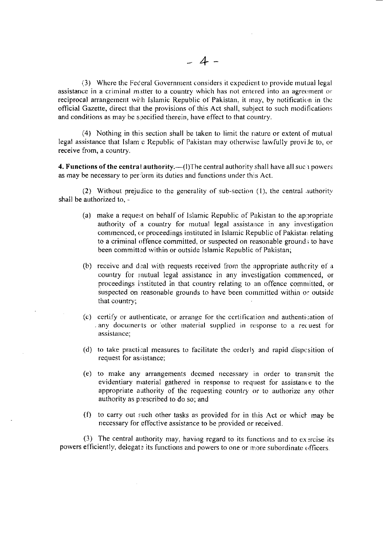(3) Where the Federal Government considers it expedient to provide mutual legal assistance in a criminal matter to a country which has not entered into an agreement or reciprocal arrangement with Islamic Republic of Pakistan, it may, by notification in the official Gazette, direct that the provisions of this Act shall, subject to such modifications and conditions as may be specified therein, have effect to that country.

 $(4)$  Nothing in this section shall be taken to limit the nature or extent of mutual legal assistance that Islam c Republic of Pakistan may otherwise lawfully provide to, or receive from, a country.

4. Functions of the central authority.— $(1)$ The central authority shall have all such powers as may be necessary to perform its duties and functions under this Act.

(2) Without prejudice to the generality of sub-section  $(1)$ , the central authority shall be authorized to. -

- (a) make a request on behalf of Islamic Republic of Pakistan to the appropriate authority of a country for mutual legal assistance in any investigation commenced, or proceedings instituted in Islamic Republic of Pakistan relating to a criminal offence committed, or suspected on reasonable ground; to have been committed within or outside Islamic Republic of Pakistan;
- (b) receive and deal with requests received from the appropriate authcrity of a country for mutual legal assistance in any investigation commenced, or proceedings instituted in that country relating to an offence committed, or suspected on reasonable grounds to have been committed within or outside that country:
- (c) certify or authenticate, or arrange for the certification and authentication of . any documents or other material supplied in response to a request for assistance;
- (d) to take practical measures to facilitate the orderly and rapid dispcsition of request for assistance;
- (e) to nrake any arrangements decmed nccessary in order 10 transmit the evidentiary material gathered in response to request for assistance to the appropriate authority of the requesting country or to authorize any other authority as p:escribed to do so; and
- (f) to carry out such other tasks as provided for in this Act or which may be necessary for effective assistance to be provided or received.

(3) The central authority may, having regard to its functions and to exercise its powers efficiently, delegate its functions and powers to one or more subordinate officers.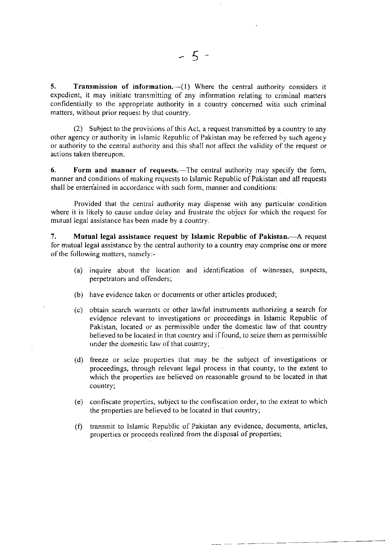5. Transmission of information. $-(1)$  Where the central authority considers it expedient, it may initiate transmitting of any information relating to criminal matters confidentially to the appropriate authority in a country concerned with such criminal matters, without prior request by that country.

(2) Subject to the provisions of this Act, a request transmitted by a country to any other agency or authority in Islamic Republic of Pakistan may be referred by such agency or authority to the central authority and this shall not affect the validity of the request or actions taken thereupon.

6. Form and manner of requests.—The central authority may specify the form, manner and conditions of making requests to Islamic Republic of Pakistan and all requests shall be entertained in accordance with such form, manner and conditions:

Provided that the central authority may dispense with any particular condition where it is likely to cause undue delay and frustrate the object for which the request for mutual legal assistance has been rnade by a country.

7. Mutual legal assistance request by Islamic Republic of Pakistan.—A request for mutual legal assistance by the central authority to a country rnay comprise one or more of the following matters, namely:-

- (a) inquire about the location and identification of witnesses, suspects, perpetrators and offenders;
- (b) have evidence taken or documents or other articles produced;
- (c) obtain search warrants or other lawful instruments authorizing a search for evidence relevant to investigations or proceedings in Islamic Republic of Pakistan, located or as permissible under the domestic law of that country believed to be located in that country and if found, to seize them as permissible under the domestic law of that country;
- (d) freeze or seize properties that rnay be the subject of investigations or proceedings, through relevant legal process in that county, to the extent to which the properties are believed on reasonable ground to be located in that country;
- (e) confiscate properties, subject to the confiscation order, to the extent to which the properties are believed to be located in that country;
- (f) transmit Io Islamic Republic of Pakistan any evidence, documents, articles, properties or proceeds realized from the disposal of properties;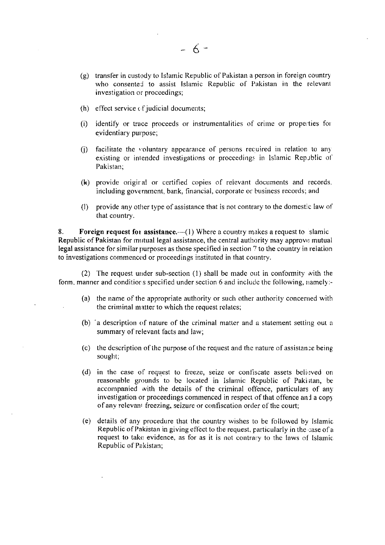- $(g)$  transfer in custody to Islamic Republic of Pakistan a person in foreign country who consented to assist Islamic Republic of Pakistan in the relevant investigation or proceedings;
- $(h)$  effect service  $cf$  judicial documents;
- (i) identify or trace proceeds or instrumentalities of crime or properties for evidentiary purpose;
- $(i)$  facilitate the voluntary appearance of persons required in relation to any existing or intended investigations or proceedings in Islamic Republic of Pakistan;
- (k) provide origiral or certified copies of relevant documents and records. including government, bank, financial, corporate or business records; and
- (l) provide any other type of assistance that is not contrary to the domestic law of that country.

8. Foreign request for assistance.— $(1)$  Where a country makes a request to slamic Republic of Pakistan for mutual legal assistance, the central authority may approve mutual legal assistance for similar purposes as those specified in section 7 to the country in relation to investigations commenced or proceedings instituted in that country.

(2) The request under sub-section  $(1)$  shall be made out in conformity with the form, manner and conditions specified under section 6 and include the following, namely:-

- (a) the name of the appropriate authority or such other authority concerned with the criminal matter to which the request relatcs;
- (b)  $a$  description of nature of the criminal matter and a statement setting out a summary of relevant facts and law;
- (c) the description of the purpose of the request and the nature of assistance being sought;
- (d) in the case of request to freeze, seize or confiscate assets believed on reasonable grounds to be located in Islamic Republic of Pakistan, be accompanied with the details of the criminal offence, particulars of any investigation or proceedings commenced in respect of that offence and a copy of any relevant freezing, seizure or confiscation order of the court;
- (e) details of any procedure that the country wishes to be followed by Islamic Republic of Pakistan in giving effect to the request, particularly in the case of a request to take evidence, as for as it is not contrary to the laws of Islamic Republic of Pakistan;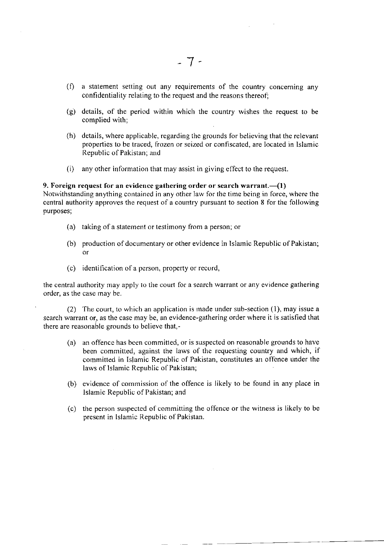- $(f)$  a statement setting out any requirements of the country concerning any confidentiality relating to the request and the reasons thereof;
- (g) details, of the period within which the country wishes the request to be complied with;
- (h) details, where applicable, regarding the grounds for believing that the relevant properties to be traced, frozen or seized or confiscated, are located in Islamic Republic of Pakistan; and
- (i) any other infbrmation that may assist in giving effeot to lhe request.

## 9. Foreign request for an evidence gathering order or search warrant. $-(1)$ Notwithstanding anything contained in any other law for the time being in force, where the central authority approves the request of a country pursuant to section 8 for the following purposes;

- (a) taking of a statement or testimony from a person; or
- (b) production of documentary or other evidence in Islamic Republic of Pakistan; or
- (c) identification of a person, property or record,

the central authority may apply to the court for a search warrant or any evidence gathering order, as the case may be.

(2) The court, to which an application is rnade under sub-section (l), may issue a search warrant or, as the case may be, an evidence-gathering order where it is satisfied that there are reasonable grounds to believe that,-

- (a) an offence has been committed, or is suspected on reasonable grounds to have been committed, against the laws of the requesting country and which, if committed in Islamic Republic of Pakistan, constitutes an offence under the laws of Islamic Republic of Pakistan;
- (b) evidence of commission of the offence is likely to be found in any place in Islamic Republic of Pakistan; and
- (c) the person suspected of cornmitting the offence or the witness is likely to be present in Islamic Republic of Pakistan.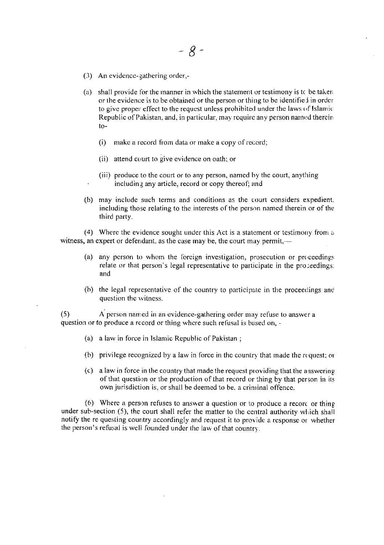- (3) An evidence-gathering order,-
- (a) shall provide for the manner in which the statement or testimony is to be taken or the evidence is to be obtained or the person or thing to be identified in order to give proper effect to the request unless prohibited under the laws of Islamic Republic of Pakistan, and, in particular, may require any person named therein  $to-$ 
	- $(i)$ make a record from data or make a copy of record;
	- (ii) attend court to give evidence on oath; or
	- (iii) produce to the court or to any person, named by the court, anything including any article, record or copy thereof; and
- (b) may include such terms and conditions as the court considers expedient, including those relating to the interests of the person named therein or of the third party.

(4) Where the evidence sought under this Act is a statement or testimony from a witness, an expert or defendant, as the case may be, the court may permit,-

- (a) any person to whom the foreign investigation, prosecution or proceedings relate or that person's legal representative to participate in the proceedings: and
- (b) the legal representative of the country to participate in the proceedings and question the witness.

A person named in an evidence-gathering order may refuse to answer a  $(5)$ question or to produce a record or thing where such refusal is based on, -

- (a) a law in force in Islamic Republic of Pakistan;
- (b) privilege recognized by a law in force in the country that made the request; or
- (c) a law in force in the country that made the request providing that the answering of that question or the production of that record or thing by that person in its own jurisdiction is, or shall be deemed to be, a criminal offence.

(6) Where a person refuses to answer a question or to produce a record or thing under sub-section (5), the court shall refer the matter to the central authority which shall notify the re questing country accordingly and request it to provide a response or whether the person's refusal is well founded under the law of that country.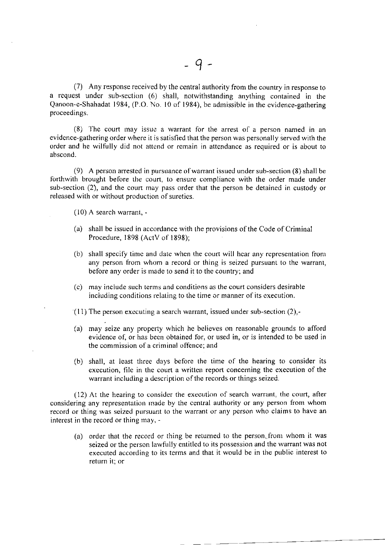(7) Any response received by the central authority from the country in response to a request under sub-section (6) shall, notwithstanding anything contained in the Qanoon-e-Shahadat 1984, (P.O. No. l0 of 1984), be admissible in the evidence-gathering proceedings.

(8) l'he court lnay issue a warrant for the arrest of a person named in an evidence-gathering order where it is satisfied that the person was personally served with the order and he wilfully did not attend or remain in attendance as required or is about to abscond.

(9) A person arrested in pursuanoe ol'warrant issued under sub-section (8) shall be forthwith brought before the court, to ensure compliance with the order made under sub-section (2), and the court may pass order that the person be detained in custody or released with or without production of sureties.

 $(10)$  A search warrant, -

- (a) shall be issued in accordance with the provisions of the Code of Criminal Procedure, 1898 (ActV of 1898);
- (b) shall speciiy time and date when the court will hear any representation from any person from whom a record or thing is seized pursuant to the warrant, before any order is made to send it to the country; and
- (c) may include such terms and conditions as the court considers desirable including conditions relating to the time or manner of its execution.
- $(11)$  The person executing a search warrant, issued under sub-section  $(2)$ ,-
- (a) may seize any property which he believes on reasonable grounds to afford evidence of, or has been obtained for, or used in, or is intended to be used in the commission of a criminal offence; and
- (b) shall, at least three days before the time of the hearing to consider its execution, file in the court a written report concerning the execution of the warrant including a description of the records or things seized.

 $(12)$  At the hearing to consider the execution of search warrant, the court, after considering any representation made by the central authority or any person from whom record or thing was seized pursuant to the warrant or any person who claims to have an interest in the record or thing may. -

(a) order that the record or thing be returned to the person. from whom it was seized or the person lawfully entitled to its possession and the warrant was not executed according to its terms and that it would be in the public interest to return it; or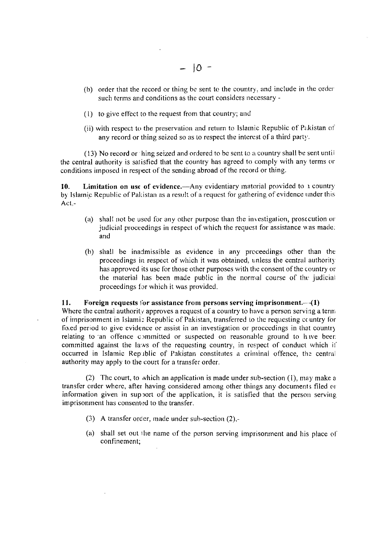- (b) order that the record or thing be sent to the country, and include in the order such terms and conditions as the court considers necessary -
- (1) to give effect to the request from that country; and
- (ii) with respect to the preservation and return to Islamic Republic of Pakistan of any record or thing seized so as to respect the interest of a third party.

(13) No record or hing seized and ordered to be sent to a country shall be sent until the central authority is satisfied that the country has agreed to comply with any terms or conditions imposed in respect of the sending abroad of the record or thing.

**Limitation on use of evidence.**—Any evidentiary material provided to  $\pm$  country 10. by Islamic Republic of Pakistan as a result of a request for gathering of evidence under this Act.-

- (a) shall not be used for any other purpose than the investigation, prosecution or judicial proceedings in respect of which the request for assistance was made: and
- (b) shall be inadmissible as evidence in any proceedings other than the proceedings in respect of which it was obtained, unless the central authority has approved its use for those other purposes with the consent of the country or the material has been made public in the normal course of the judicial proceedings for which it was provided.

### Foreign requests for assistance from persons serving imprisonment. $-(1)$ 11.

Where the central authority approves a request of a country to have a person serving a term of imprisonment in Islamic Republic of Pakistan, transferred to the requesting country for fixed period to give evidence or assist in an investigation or proceedings in that country relating to an offence committed or suspected on reasonable ground to have been committed against the laws of the requesting country, in respect of conduct which if occurred in Islamic Republic of Pakistan constitutes a criminal offence, the central authority may apply to the court for a transfer order.

(2) The court, to which an application is made under sub-section (1), may make a transfer order where, after having considered among other things any documents filed or information given in support of the application, it is satisfied that the person serving imprisonment has consented to the transfer.

- (3) A transfer order, made under sub-section (2),-
- (a) shall set out the name of the person serving imprisonment and his place of confinement;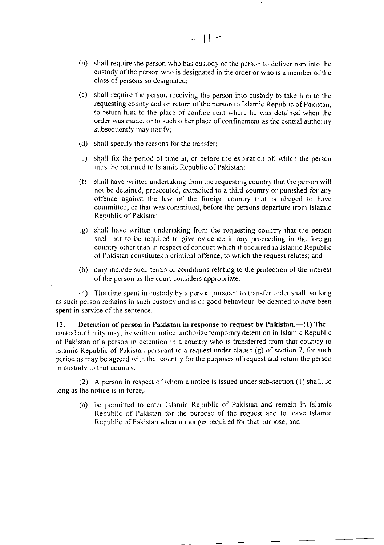- (b) shall require the person who has custody of the person to deliver him into the custody of the person who is designated in the order or who is a member of the class of persons so designated;
- (c) shall require the person receiving the person into custody to take him to the requesting county and on return of the person to Islamic Republic of Pakistan, to return him to the place of confinement where he was detained when the order was made, or to such other place of confinement as the central authority subsequently may notify;
- (d) shall specify the reasons for the transfer;
- (e) shall fix the period of time at, or before the expiration of, which the person must be returned to Islamic Republic of Pakistan;
- $(f)$  shall have written undertaking from the requesting country that the person will not be detained, prosecuted, extradited to a third oountry or punished for any offence against the law of the foreign country that is alleged to have committed, or that was committed, before the persons departure from Islamic Republic of Pakistan;
- (g) shall have wrjtten undertaking from the requesting country thar the person shall not to be required to give evidence in any proceeding in the foreign country other than in respect of conduct which if occurred in Islamic Republic of Pakistan constitutes a criminal offence, to which the request relates; and
- (h) may include such terms or conditions relating to the protection of the interest of the person as the court considers appropriate.

(4) The time spent in custody by a person pursuant to transfer order shall, so long as such person remains in such custody and is of good behaviour, be deemed to have been spent in service of the sentence.

12. Detention of person in Pakistan in response to request by Pakistan.— $(1)$  The central authority may, by written notice, authorize temporary detention in Islamic Republic of Pakistan of a person in detention in a country who is transferred from that country to Islamic Republic of Pakistan pursuant to a request under clause (g) of section 7, for such period as may be agreed with that country for the purposes of request and return the person in custody to that country.

(2) A person in respect of whom a notice is issued under sub-section  $(1)$  shall, so long as the notice is in force,-

(a) be permitted to enter Islamic Republic of Pakistan and remain in Islamic Republic of Pakistan for the purpose of the request and to leave Islamic Republic of Pakistan when no longer required for that purpose; and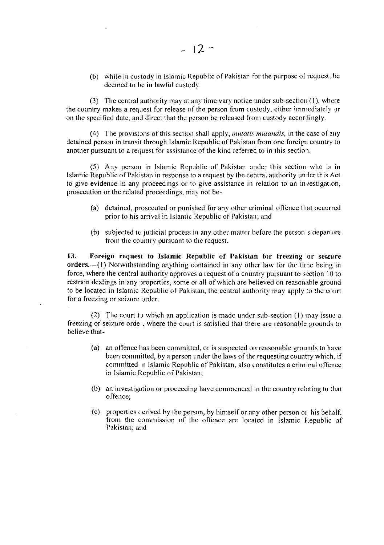(b) while in custody in Islamic Republic of Pakistan for the purpose of request, be deemed to be in lawful custody.

(3) The central authority may at any time vary notice under sub-section (1), where the country makes a request for release of the person from custody, either immediately or on the specified date, and direct that the person be released from custody accordingly.

(4) The provisions of this section shall apply, *mutatis mutandis*, in the case of any detained person in transit through Islamic Republic of Pakistan from one foreign country to another pursuant to a request for assistance of the kind referred to in this section.

(5) Any person in Islamic Republic of Pakistan under this section who is in Islamic Republic of Pakistan in response to a request by the central authority under this Act to give evidence in any proceedings or to give assistance in relation to an investigation, prosecution or the related proceedings, may not be-

- (a) detained, prosecuted or punished for any other criminal offence that occurred prior to his arrival in Islamic Republic of Pakistan; and
- (b) subjected to judicial process in any other matter before the person's departure from the country pursuant to the request.

13. Foreign request to Islamic Republic of Pakistan for freezing or seizure orders.— $(1)$  Notwithstanding anything contained in any other law for the time being in force, where the central authority approves a request of a country pursuant to section 10 to restrain dealings in any properties, some or all of which are believed on reasonable ground to be located in Islamic Republic of Pakistan, the central authority may apply to the court for a freezing or seizure order.

(2) The court to which an application is made under sub-section  $(1)$  may issue a freezing or seizure order, where the court is satisfied that there are reasonable grounds to believe that-

- (a) an offence has been committed, or is suspected on reasonable grounds to have been committed, by a person under the laws of the requesting country which, if committed in Islamic Republic of Pakistan, also constitutes a criminal offence in Islamic Republic of Pakistan;
- (b) an investigation or proceeding have commenced in the country relating to that offence:
- (c) properties cerived by the person, by himself or any other person or his behalf, from the commission of the offence are located in Islamic Republic of Pakistan; and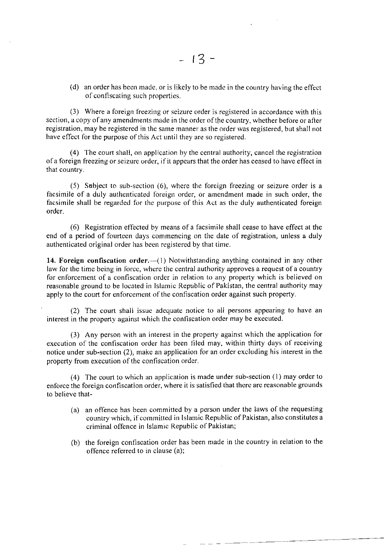(d) an order has been made. or is likely to be madc in the country having the effect of confiscating such properties.

(3) Where a foreign freezing or seizure order is registered in accordance with this section, a copy of any amendments made in the order of the country, whether before or after registration, may be registered in the same manner as the order was registered, but shall not have effect for the purpose of this Act until they are so registered.

 $(4)$  The court shall, on application by the central authority, cancel the registration ofa foreign freezing or seizure order, if it appears that the order has ceased to have effect in that country.

(5) Subject to sub-section (6), where the foreign freezing or seizure order is <sup>a</sup> facsimile of a duly authenticated foreign order, or amendment made in such order, the facsimile shall be regarded for the purpose of this Act as the duly authenticated foreign order.

(6) Registration etfected by rneans of a lacsimile shall cease to have effect at the end of a period of fourteen days commencing on the date of registration, unless a duly authenticated original order has been registered by that time.

14. Foreign confiscation order.— $(1)$  Notwithstanding anything contained in any other law for the time being in force, where the central authority approves a request of a country for enfbrcement of a confiscation order in relation to any property which is believed on reasonable ground to be located in lslamic Republic of Pakistan, the central authority may apply to the court for enforcement of the confiscation order against such property.

(2) The court shall issue adequate notice to all persons appearing to have an interest in the property against which the confiscation order may be executed.

(3) Any person with an interest in the property against which the application for execution of the confiscation order has been filed may, within thirty days of receiving notice under sub-section (2), make an application for an order excluding his interest in the property from execution of the confiscation order.

(4) The court to which an application is made under sub-section  $(1)$  may order to enforce the foreign confiscation order, where it is satisfied that there are reasonable grounds to believe that-

- (a) an offence has been committed by a person under the laws of the requesting country which, if cornmitted in Islamic Republic of Pakistan, also constitutes a criminal offence in Islamic Republic of Pakistan;
- (b) the foreign confiscation order has been made in the country in relation to the offence referred to in clause (a);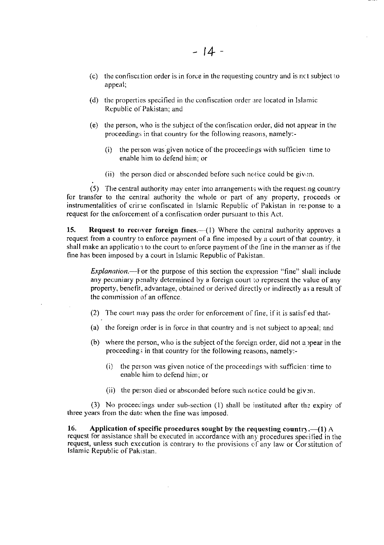- (c) the confiscation order is in force in the requesting country and is not subject to appeal;
- (d) the properties specified in the confiscation order are located in Islamic Republic of Pakistan; and
- (e) the person, who is the subject of the confiscation order, did not appear in the proceedings in that country for the following reasons, namely:-
	- $(i)$ the person was given notice of the proceedings with sufficient time to enable him to defend him: or
	- (ii) the person died or absconded before such notice could be given.

(5) The central authority may enter into arrangements with the requesting country for transfer to the central authority the whole or part of any property, proceeds or instrumentalities of crime confiscated in Islamic Republic of Pakistan in response to a request for the enforcement of a confiscation order pursuant to this Act.

15. **Request to recover foreign fines.**  $-(1)$  Where the central authority approves a request from a country to enforce payment of a fine imposed by a court of that country, it shall make an application to the court to enforce payment of the fine in the manner as if the fine has been imposed by a court in Islamic Republic of Pakistan.

*Explanation*.—For the purpose of this section the expression "fine" shall include any pecuniary penalty determined by a foreign court to represent the value of any property, benefit, advantage, obtained or derived directly or indirectly as a result of the commission of an offence.

- (2) The court may pass the order for enforcement of fine, if it is satisfied that-
- (a) the foreign order is in force in that country and is not subject to appeal; and
- (b) where the person, who is the subject of the foreign order, did not appear in the proceedings in that country for the following reasons, namely:-
	- $(i)$  the person was given notice of the proceedings with sufficien: time to enable him to defend him; or
	- (ii) the person died or absconded before such notice could be given.

(3) No proceedings under sub-section (1) shall be instituted after the expiry of three years from the date when the fine was imposed.

16. Application of specific procedures sought by the requesting country.  $-(1)$  A request for assistance shall be executed in accordance with any procedures specified in the request, unless such execution is contrary to the provisions of any law or Corstitution of Islamic Republic of Pakistan.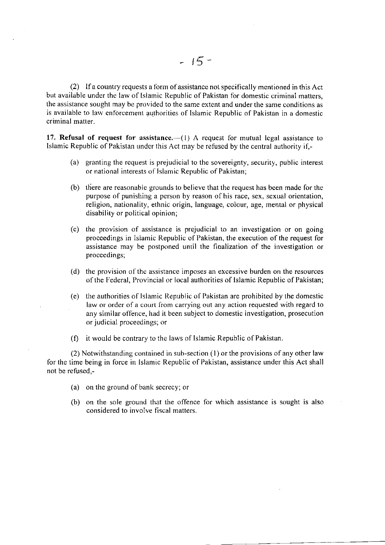$(2)$  If a country requests a form of assistance not specifically mentioned in this Act but available under the law of Islamic Republic of Pakistan for domestic criminal matters, the assistance sought may be provided to the same extent and under the same conditions as is available to law enforcement authorities of Islamic Republic of Pakistan in a domestic criminal matter.

17. Refusal of request for assistance.— $(1)$  A request for mutual legal assistance to Islamic Republic of Pakistan under this Act may be refused by the central authority if. $-$ 

- (a) granting the request is prejudicial to the sovereignty, security, public interesr or national interests of Islamic Republic of Pakistan;
- (b) there are reasonable grounds to believe that the request has been made for the purpose of punishing a person by reason of his race, sex, sexual orientation, religion, nationality, ethnic origin, language, colcur, age, mental or physical disability or political opinion;
- $(c)$  the provision of assistance is prejudicial to an investigation or on going proceedings in Islamic Republic of Pakistan, the execution of the request for assistance may be postponed until the finalization of the investigation or proceedings;
- (d) the provision of the assistance imposes an excessive burden on the resources of the Federal, Provincial or local authorities of Islamic Republic of Pakistan;
- (e) the authorities of Islamic Republic of Pakistan are prohibited by the domestic law or order of a court fiom carrying out any action requested with regard to any similar offence, had it been subject to domestic investigation, prosecution or judicial proceedings; or
- (f) it would be contrary to the laws of lslamic Republic of Pakistan.

 $(2)$  Notwithstanding contained in sub-section  $(1)$  or the provisions of any other law for the time being in force in Islamic Republic of Pakistan, assistance under this Act shall not be refused,-

- (a) on the ground of bank secrecy; or
- (b) on the sole ground that the offence for which assistance is sought is also considered to involve fiscal matters.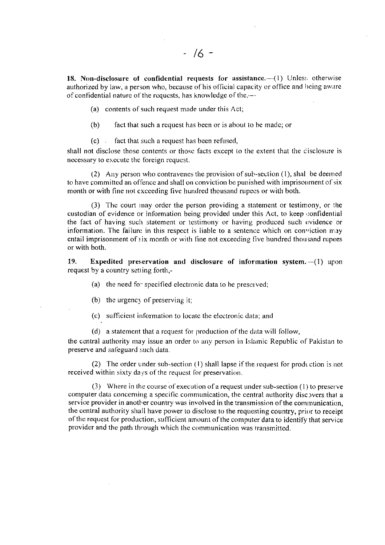18. Non-disclosure of confidential requests for assistance.—(1) Unless otherwise authorized by law, a person who, because of his official capacity or office and being aware of confidential nature of the requests, has knowledge of the.-

(a) contents of such request made under this Act;

 $(b)$ fact that such a request has been or is about to be made; or

 $(c)$  fact that such a request has been refused,

shall not disclose those contents or those facts except to the extent that the disclosure is necessary to execute the foreign request.

(2) Any person who contravenes the provision of sub-section (1), shal be deemed to have committed an offence and shall on conviction be punished with imprisonment of six month or with fine not exceeding five hundred thousand rupees or with both.

(3) The court may order the person providing a statement or testimony, or the custodian of evidence or information being provided under this Act, to keep confidential the fact of having such statement or testimony or having produced such evidence or information. The failure in this respect is liable to a sentence which on conviction may entail imprisonment of six month or with fine not exceeding five hundred thousand rupees or with both.

19. **Expedited preservation and disclosure of information system.** $-(1)$  upon request by a country setting forth,-

(a) the need for specified electronic data to be preserved;

(b) the urgency of preserving it:

(c) sufficient information to locate the electronic data; and

(d) a statement that a request for production of the data will follow,

the central authority may issue an order to any person in Islamic Republic of Pakistan to preserve and safeguard such data.

(2) The order under sub-section (1) shall lapse if the request for production is not received within sixty days of the request for preservation.

(3) Where in the course of execution of a request under sub-section (1) to preserve computer data concerning a specific communication, the central authority discovers that a service provider in another country was involved in the transmission of the communication, the central authority shall have power to disclose to the requesting country, prior to receipt of the request for production, sufficient amount of the computer data to identify that service provider and the path through which the communication was transmitted.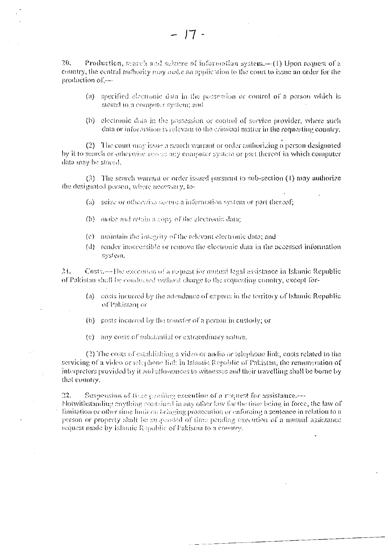$2.6$ Production, search and spizure of information system.—(1) Upon request of a country, the central authority may make an application to the court to issue an order for the production of .--

- (a) specified electronic data in the possession or control of a person which is stored in a computer system; and
- (b) electronic data in the possession or control of service provider, where such data or information is relevant to the criminal matter in the requesting country.

(2) The court may issue a search warrant or order authorizing a person designated by it to search or otherwise access any computer system or part thereof in which computer data may be stored.

(3) The search warrant or order issued pursuant to sub-section (1) may authorize the designated person, where necessary, to-

- (a) scize or otherwise secure a information system or part thereof;
- (b) make and retain a copy of the electronic data;
- (c) maintain the integrity of the relevant electronic data; and
- (d) render inaccessible or remove the electronic data in the accessed information system.

 $21$ Costs.—The execution of a request for mutual legal assistance in Islamic Republic of Pakistan shall be conducted without charge to the requesting country, except for-

- (a) costs incurred by the attendance of experts in the territory of Islamic Republic of Pakistan, or
- (b) costs incurred by the transfer of a person in custody; or
- (c) any costs of substantial or extraordinary nature.

(2) The costs of establishing a video or audio or telephone link, costs related to the servicing of a video or telephone link in Islamic Republic of Pakistan, the remuneration of interpreters provided by it and allowances to witnesses and their travelling shall be borne by that country.

 $22.$ Suspeasion of the pending execution of a request for assistance. Notwithstanding enything contained in any other law for the time being in force, the law of limitation or other time limit on bringing prosecution or enforcing a sentence in relation to a person or property shall be supposed of time pending execution of a mutual assistance request made by Islamic Republic of Pakistan to a country.